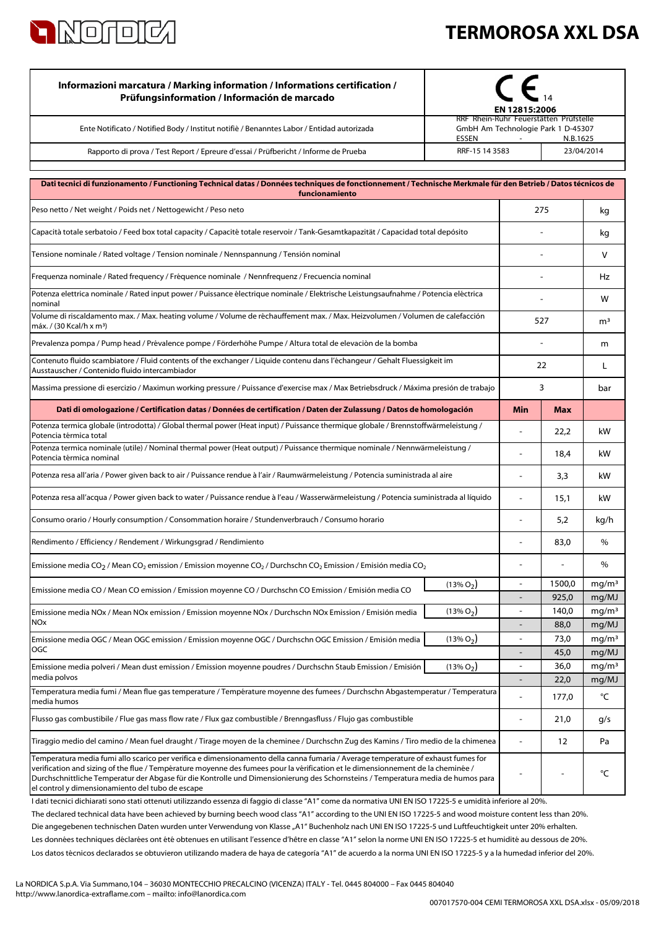

## **TERMOROSA XXL DSA**

| Informazioni marcatura / Marking information / Informations certification /<br>Prüfungsinformation / Información de marcado                                                                                                                                                                                                                                                                                                                                   | N 12815:2006<br>RRF Rhein-Ruhr Feuerstätten Prüfstelle            |                              |                   |                            |
|---------------------------------------------------------------------------------------------------------------------------------------------------------------------------------------------------------------------------------------------------------------------------------------------------------------------------------------------------------------------------------------------------------------------------------------------------------------|-------------------------------------------------------------------|------------------------------|-------------------|----------------------------|
| Ente Notificato / Notified Body / Institut notifiè / Benanntes Labor / Entidad autorizada                                                                                                                                                                                                                                                                                                                                                                     | GmbH Am Technologie Park 1 D-45307<br>ESSEN<br>N.B.1625<br>$\sim$ |                              |                   |                            |
| Rapporto di prova / Test Report / Epreure d'essai / Prüfbericht / Informe de Prueba                                                                                                                                                                                                                                                                                                                                                                           |                                                                   | RRF-15 14 3583<br>23/04/2014 |                   |                            |
|                                                                                                                                                                                                                                                                                                                                                                                                                                                               |                                                                   |                              |                   |                            |
| Dati tecnici di funzionamento / Functioning Technical datas / Données techniques de fonctionnement / Technische Merkmale für den Betrieb / Datos técnicos de<br>funcionamiento                                                                                                                                                                                                                                                                                |                                                                   |                              |                   |                            |
| Peso netto / Net weight / Poids net / Nettogewicht / Peso neto                                                                                                                                                                                                                                                                                                                                                                                                | 275                                                               |                              | kg                |                            |
| Capacità totale serbatoio / Feed box total capacity / Capacité totale reservoir / Tank-Gesamtkapazität / Capacidad total depósito                                                                                                                                                                                                                                                                                                                             |                                                                   |                              |                   |                            |
| Tensione nominale / Rated voltage / Tension nominale / Nennspannung / Tensión nominal                                                                                                                                                                                                                                                                                                                                                                         |                                                                   |                              |                   | V                          |
| Frequenza nominale / Rated frequency / Fréquence nominale / Nennfrequenz / Frecuencia nominal                                                                                                                                                                                                                                                                                                                                                                 |                                                                   |                              |                   | Hz                         |
| Potenza elettrica nominale / Rated input power / Puissance électrique nominale / Elektrische Leistungsaufnahme / Potencia eléctrica<br>nominal                                                                                                                                                                                                                                                                                                                |                                                                   |                              |                   | w                          |
| Volume di riscaldamento max. / Max. heating volume / Volume de réchauffement max. / Max. Heizvolumen / Volumen de calefacción<br>máx. / (30 Kcal/h x m <sup>3</sup> )                                                                                                                                                                                                                                                                                         |                                                                   |                              | 527               |                            |
| Prevalenza pompa / Pump head / Prévalence pompe / Förderhöhe Pumpe / Altura total de elevaciòn de la bomba                                                                                                                                                                                                                                                                                                                                                    |                                                                   |                              |                   | m                          |
| Contenuto fluido scambiatore / Fluid contents of the exchanger / Liquide contenu dans l'échangeur / Gehalt Fluessigkeit im<br>Ausstauscher / Contenido fluido intercambiador                                                                                                                                                                                                                                                                                  |                                                                   | 22                           |                   | L                          |
| Massima pressione di esercizio / Maximun working pressure / Puissance d'exercise max / Max Betriebsdruck / Máxima presión de trabajo                                                                                                                                                                                                                                                                                                                          |                                                                   | 3                            |                   | bar                        |
| Dati di omologazione / Certification datas / Données de certification / Daten der Zulassung / Datos de homologación                                                                                                                                                                                                                                                                                                                                           |                                                                   | Min                          | <b>Max</b>        |                            |
| Potenza termica globale (introdotta) / Global thermal power (Heat input) / Puissance thermique globale / Brennstoffwärmeleistung /<br>Potencia térmica total                                                                                                                                                                                                                                                                                                  |                                                                   |                              | 22,2              | kW                         |
| Potenza termica nominale (utile) / Nominal thermal power (Heat output) / Puissance thermique nominale / Nennwärmeleistung /<br>Potencia térmica nominal                                                                                                                                                                                                                                                                                                       |                                                                   |                              | 18,4              | kW                         |
| Potenza resa all'aria / Power given back to air / Puissance rendue à l'air / Raumwärmeleistung / Potencia suministrada al aire                                                                                                                                                                                                                                                                                                                                |                                                                   |                              | 3,3               | kW                         |
| Potenza resa all'acqua / Power given back to water / Puissance rendue à l'eau / Wasserwärmeleistung / Potencia suministrada al líquido                                                                                                                                                                                                                                                                                                                        |                                                                   |                              | 15,1              | kW                         |
| Consumo orario / Hourly consumption / Consommation horaire / Stundenverbrauch / Consumo horario                                                                                                                                                                                                                                                                                                                                                               |                                                                   |                              | 5,2               | kg/h                       |
| Rendimento / Efficiency / Rendement / Wirkungsgrad / Rendimiento                                                                                                                                                                                                                                                                                                                                                                                              |                                                                   |                              | 83,0              | $\%$                       |
| Emissione media CO <sub>2</sub> / Mean CO <sub>2</sub> emission / Emission moyenne CO <sub>2</sub> / Durchschn CO <sub>2</sub> Emission / Emisión media CO <sub>2</sub>                                                                                                                                                                                                                                                                                       |                                                                   |                              |                   | %                          |
| Emissione media CO / Mean CO emission / Emission moyenne CO / Durchschn CO Emission / Emisión media CO                                                                                                                                                                                                                                                                                                                                                        | $(13\% O2)$                                                       |                              | 1500,0            | mg/m <sup>3</sup>          |
|                                                                                                                                                                                                                                                                                                                                                                                                                                                               |                                                                   |                              | 925,0             | mg/MJ                      |
| $(13\% O_2)$<br>Emissione media NOx / Mean NOx emission / Emission moyenne NOx / Durchschn NOx Emission / Emisión media                                                                                                                                                                                                                                                                                                                                       |                                                                   | 140,0                        | mg/m <sup>3</sup> |                            |
| <b>NO<sub>x</sub></b>                                                                                                                                                                                                                                                                                                                                                                                                                                         |                                                                   |                              | 88,0              | mg/MJ                      |
| Emissione media OGC / Mean OGC emission / Emission moyenne OGC / Durchschn OGC Emission / Emisión media<br>OGC                                                                                                                                                                                                                                                                                                                                                | $(13\% O_2)$                                                      | $\overline{\phantom{a}}$     | 73,0<br>45,0      | mg/m <sup>3</sup><br>mg/MJ |
| Emissione media polveri / Mean dust emission / Emission moyenne poudres / Durchschn Staub Emission / Emisión                                                                                                                                                                                                                                                                                                                                                  | $(13\% O_2)$                                                      | $\overline{a}$               | 36,0              | mg/m <sup>3</sup>          |
| media polvos                                                                                                                                                                                                                                                                                                                                                                                                                                                  |                                                                   | $\overline{\phantom{a}}$     | 22,0              | mg/MJ                      |
| Temperatura media fumi / Mean flue gas temperature / Température moyenne des fumees / Durchschn Abgastemperatur / Temperatura<br>media humos                                                                                                                                                                                                                                                                                                                  |                                                                   |                              | 177,0             | °C                         |
| Flusso gas combustibile / Flue gas mass flow rate / Flux gaz combustible / Brenngasfluss / Flujo gas combustible                                                                                                                                                                                                                                                                                                                                              |                                                                   |                              | 21,0              | g/s                        |
| Tiraggio medio del camino / Mean fuel draught / Tirage moyen de la cheminee / Durchschn Zug des Kamins / Tiro medio de la chimenea                                                                                                                                                                                                                                                                                                                            |                                                                   | $\overline{\phantom{a}}$     | 12                | Pa                         |
| Temperatura media fumi allo scarico per verifica e dimensionamento della canna fumaria / Average temperature of exhaust fumes for<br>verification and sizing of the flue / Température moyenne des fumees pour la vérification et le dimensionnement de la cheminée /<br>Durchschnittliche Temperatur der Abgase für die Kontrolle und Dimensionierung des Schornsteins / Temperatura media de humos para<br>el control y dimensionamiento del tubo de escape |                                                                   |                              |                   | °C                         |

Los datos técnicos declarados se obtuvieron utilizando madera de haya de categoría "A1" de acuerdo a la norma UNI EN ISO 17225-5 y a la humedad inferior del 20%. Les données techniques déclarées ont été obtenues en utilisant l'essence d'hêtre en classe "A1" selon la norme UNI EN ISO 17225-5 et humidité au dessous de 20%. I dati tecnici dichiarati sono stati ottenuti utilizzando essenza di faggio di classe "A1" come da normativa UNI EN ISO 17225-5 e umidità inferiore al 20%. Die angegebenen technischen Daten wurden unter Verwendung von Klasse "A1" Buchenholz nach UNI EN ISO 17225-5 und Luftfeuchtigkeit unter 20% erhalten. The declared technical data have been achieved by burning beech wood class "A1" according to the UNI EN ISO 17225-5 and wood moisture content less than 20%.